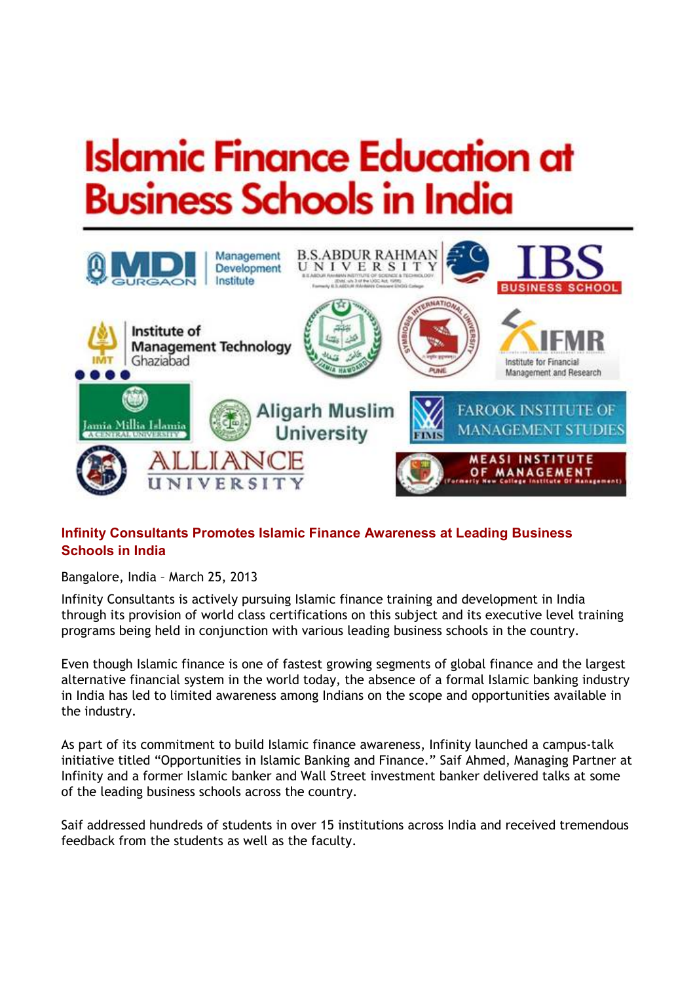# **Islamic Finance Education at Business Schools in India**



## **Infinity Consultants Promotes Islamic Finance Awareness at Leading Business Schools in India**

Bangalore, India – March 25, 2013

Infinity Consultants is actively pursuing Islamic finance training and development in India through its provision of world class certifications on this subject and its executive level training programs being held in conjunction with various leading business schools in the country.

Even though Islamic finance is one of fastest growing segments of global finance and the largest alternative financial system in the world today, the absence of a formal Islamic banking industry in India has led to limited awareness among Indians on the scope and opportunities available in the industry.

As part of its commitment to build Islamic finance awareness, Infinity launched a campus-talk initiative titled "Opportunities in Islamic Banking and Finance." Saif Ahmed, Managing Partner at Infinity and a former Islamic banker and Wall Street investment banker delivered talks at some of the leading business schools across the country.

Saif addressed hundreds of students in over 15 institutions across India and received tremendous feedback from the students as well as the faculty.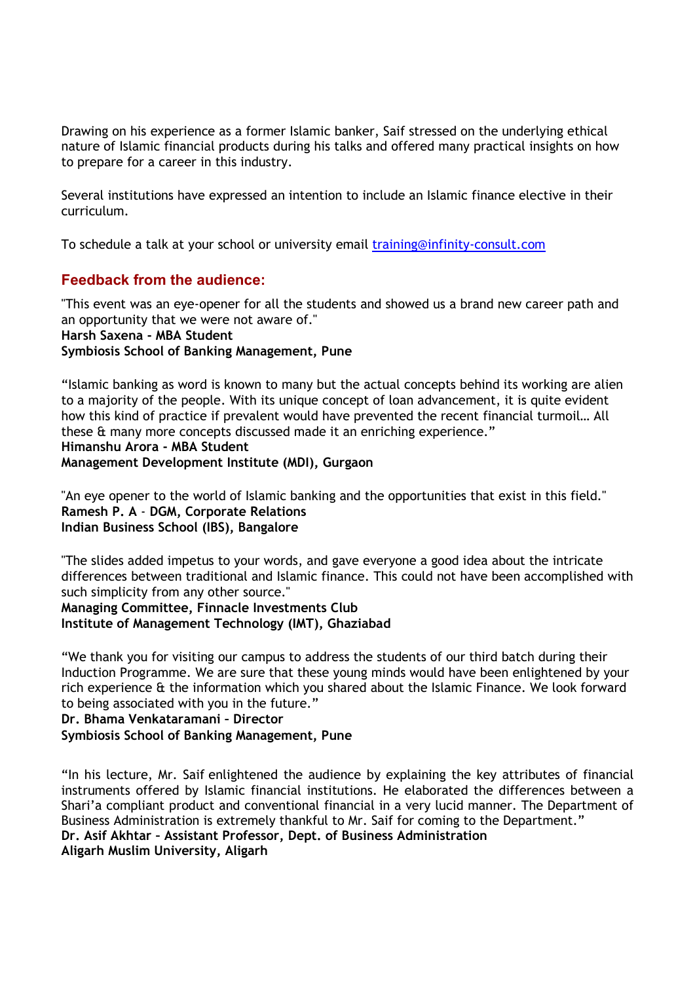Drawing on his experience as a former Islamic banker, Saif stressed on the underlying ethical nature of Islamic financial products during his talks and offered many practical insights on how to prepare for a career in this industry.

Several institutions have expressed an intention to include an Islamic finance elective in their curriculum.

To schedule a talk at your school or university email training@infinity-consult.com

## **Feedback from the audience:**

"This event was an eye-opener for all the students and showed us a brand new career path and an opportunity that we were not aware of." **Harsh Saxena - MBA Student Symbiosis School of Banking Management, Pune**

"Islamic banking as word is known to many but the actual concepts behind its working are alien to a majority of the people. With its unique concept of loan advancement, it is quite evident how this kind of practice if prevalent would have prevented the recent financial turmoil… All these & many more concepts discussed made it an enriching experience." **Himanshu Arora - MBA Student Management Development Institute (MDI), Gurgaon** 

"An eye opener to the world of Islamic banking and the opportunities that exist in this field." **Ramesh P. A** - **DGM, Corporate Relations Indian Business School (IBS), Bangalore**

"The slides added impetus to your words, and gave everyone a good idea about the intricate differences between traditional and Islamic finance. This could not have been accomplished with such simplicity from any other source."

**Managing Committee, Finnacle Investments Club Institute of Management Technology (IMT), Ghaziabad**

"We thank you for visiting our campus to address the students of our third batch during their Induction Programme. We are sure that these young minds would have been enlightened by your rich experience & the information which you shared about the Islamic Finance. We look forward to being associated with you in the future."

**Dr. Bhama Venkataramani – Director** 

**Symbiosis School of Banking Management, Pune** 

"In his lecture, Mr. Saif enlightened the audience by explaining the key attributes of financial instruments offered by Islamic financial institutions. He elaborated the differences between a Shari'a compliant product and conventional financial in a very lucid manner. The Department of Business Administration is extremely thankful to Mr. Saif for coming to the Department." **Dr. Asif Akhtar – Assistant Professor, Dept. of Business Administration Aligarh Muslim University, Aligarh**